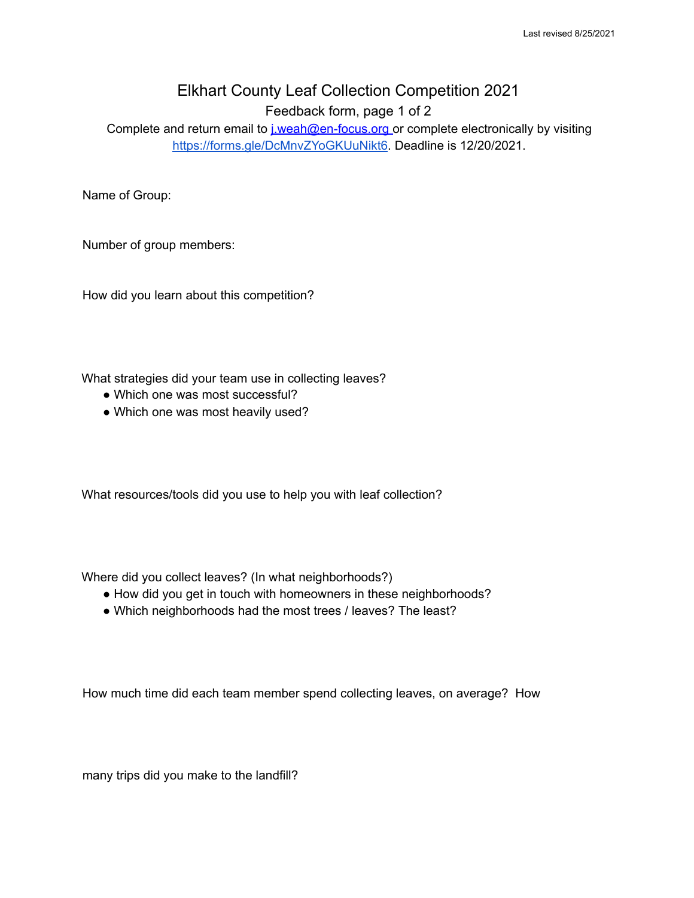## Elkhart County Leaf Collection Competition 2021

Feedback form, page 1 of 2

Complete and return email to *j.weah@en-focus.org* or complete electronically by visiting <https://forms.gle/DcMnvZYoGKUuNikt6>. Deadline is 12/20/2021.

Name of Group:

Number of group members:

How did you learn about this competition?

What strategies did your team use in collecting leaves?

- Which one was most successful?
- Which one was most heavily used?

What resources/tools did you use to help you with leaf collection?

Where did you collect leaves? (In what neighborhoods?)

- How did you get in touch with homeowners in these neighborhoods?
- Which neighborhoods had the most trees / leaves? The least?

How much time did each team member spend collecting leaves, on average? How

many trips did you make to the landfill?